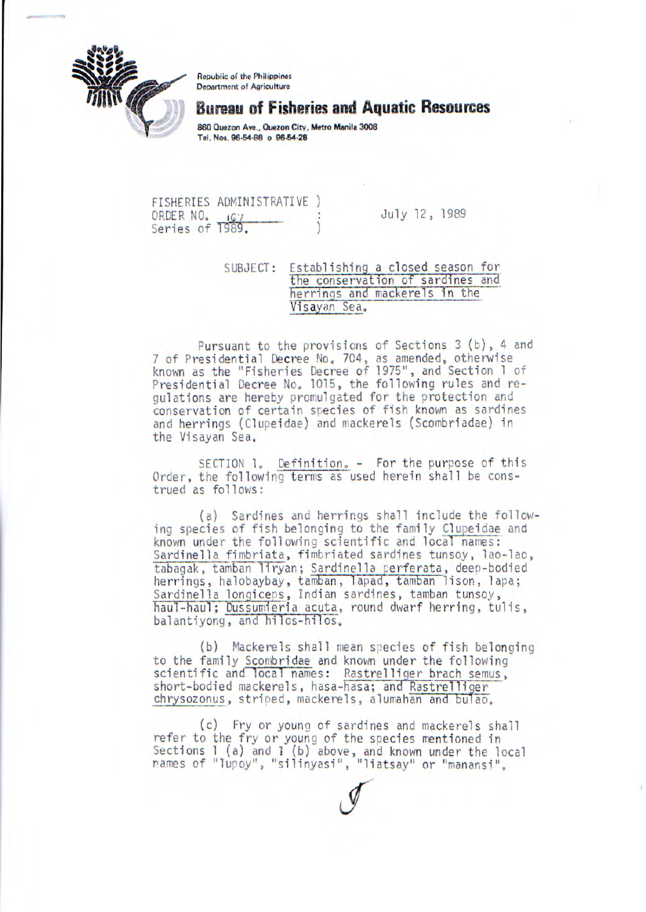

Republic of the Philippines Department of Agriculture

## **Bureau of Fisheries and Aquatic Resources**

**860 Quezon Ave., Quezon City, Metro Manila 3008 Tel. Not, 96-54-98 o 96.54.28** 

FISHERIES ADMINISTRATIVE ORDER NO. (67 : July 12, 1989) Series of 1989.

SUBJECT: Establishing a closed season for the conservation of sardines and herrings and mackerels in the Visayan Sea.

Pursuant to the provisions of Sections 3 (b), 4 and 7 of Presidential Decree No. 704, as amended, otherwise known as the "Fisheries Decree of 1975", and Section 1 of Presidential Decree No. 1015, the following rules and regulations are hereby promulgated for the protection and conservation of certain species of fish known as sardines and herrings (Clupeidae) and mackerels (Scombriadae) in the Visayan Sea.

SECTION 1, Definition. - For the purpose of this Order, the following terms as used herein shall be construed as follows:

(a) Sardines and herrings shall include the following species of fish belonging to the family Clupeidae and known under the following scientific and local names: Sardinella fimbriata, fimbriated sardines tunsoy, lao-lao, tabagak, tamban liryan; Sardinella erferata, deep-bodied herrings, halobaybay, tamban, lapad, tamban lison, lapa; Sardinella longiceps, Indian sardines, tamban tunsoy, haul-haul; Dussumieria acuta, round dwarf herring, tulis, balantiyong, and hilos-hilos.

(b) Mackerels shall mean species of fish belonging to the family Scombridae and known under the following scientific and local names: Rastrelliger brach semus, short-bodied mackerels, hasa-hasa; and Rastrelliger chrysozorws, striped, mackerels, alumahan and bulao.

(c) Fry or young of sardines and mackerels shall refer to the fry or young of the species mentioned in Sections 1 (a) and I (b) above, and known under the local rarres of "lupoy', 'silinyasi", "liatsay" or "manansi',

 $\mathscr{I}$